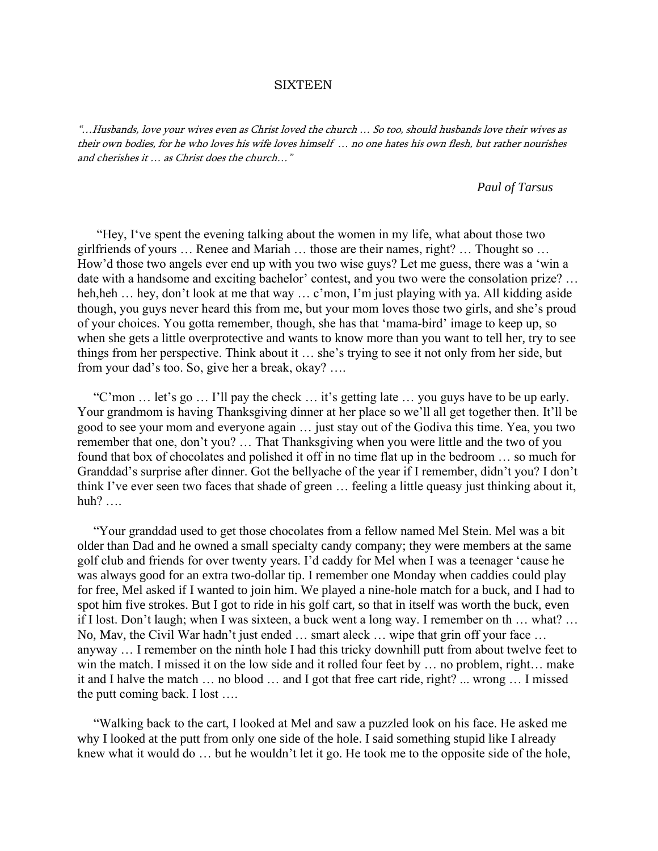## **SIXTEEN**

"…Husbands, love your wives even as Christ loved the church … So too, should husbands love their wives as their own bodies, for he who loves his wife loves himself … no one hates his own flesh, but rather nourishes and cherishes it … as Christ does the church…"

## *Paul of Tarsus*

 "Hey, I've spent the evening talking about the women in my life, what about those two girlfriends of yours … Renee and Mariah … those are their names, right? … Thought so … How'd those two angels ever end up with you two wise guys? Let me guess, there was a 'win a date with a handsome and exciting bachelor' contest, and you two were the consolation prize? … heh,heh ... hey, don't look at me that way ... c'mon, I'm just playing with ya. All kidding aside though, you guys never heard this from me, but your mom loves those two girls, and she's proud of your choices. You gotta remember, though, she has that 'mama-bird' image to keep up, so when she gets a little overprotective and wants to know more than you want to tell her, try to see things from her perspective. Think about it … she's trying to see it not only from her side, but from your dad's too. So, give her a break, okay? ….

 "C'mon … let's go … I'll pay the check … it's getting late … you guys have to be up early. Your grandmom is having Thanksgiving dinner at her place so we'll all get together then. It'll be good to see your mom and everyone again … just stay out of the Godiva this time. Yea, you two remember that one, don't you? … That Thanksgiving when you were little and the two of you found that box of chocolates and polished it off in no time flat up in the bedroom … so much for Granddad's surprise after dinner. Got the bellyache of the year if I remember, didn't you? I don't think I've ever seen two faces that shade of green … feeling a little queasy just thinking about it, huh? ….

 "Your granddad used to get those chocolates from a fellow named Mel Stein. Mel was a bit older than Dad and he owned a small specialty candy company; they were members at the same golf club and friends for over twenty years. I'd caddy for Mel when I was a teenager 'cause he was always good for an extra two-dollar tip. I remember one Monday when caddies could play for free, Mel asked if I wanted to join him. We played a nine-hole match for a buck, and I had to spot him five strokes. But I got to ride in his golf cart, so that in itself was worth the buck, even if I lost. Don't laugh; when I was sixteen, a buck went a long way. I remember on th … what? … No, Mav, the Civil War hadn't just ended … smart aleck … wipe that grin off your face … anyway … I remember on the ninth hole I had this tricky downhill putt from about twelve feet to win the match. I missed it on the low side and it rolled four feet by … no problem, right… make it and I halve the match … no blood … and I got that free cart ride, right? ... wrong … I missed the putt coming back. I lost ….

 "Walking back to the cart, I looked at Mel and saw a puzzled look on his face. He asked me why I looked at the putt from only one side of the hole. I said something stupid like I already knew what it would do … but he wouldn't let it go. He took me to the opposite side of the hole,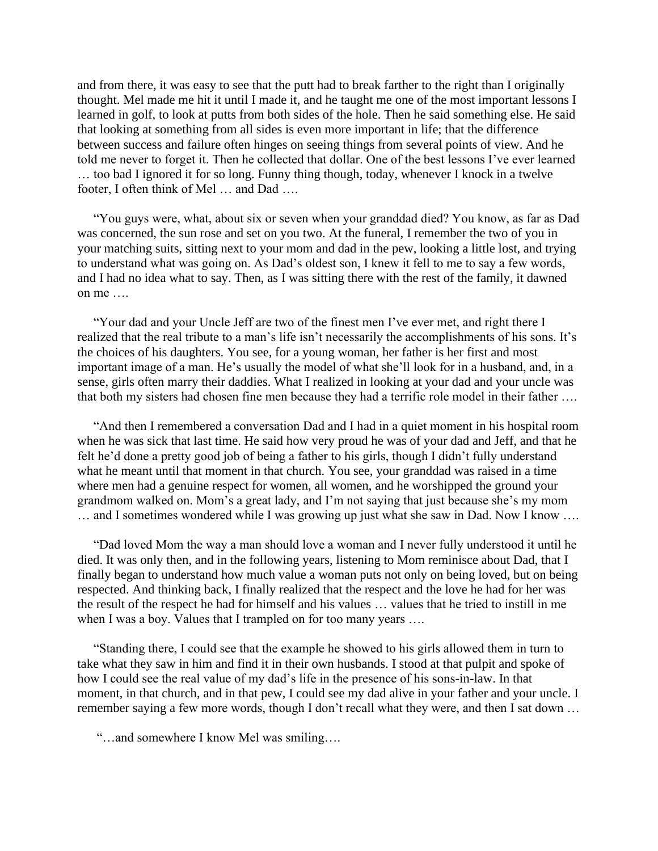and from there, it was easy to see that the putt had to break farther to the right than I originally thought. Mel made me hit it until I made it, and he taught me one of the most important lessons I learned in golf, to look at putts from both sides of the hole. Then he said something else. He said that looking at something from all sides is even more important in life; that the difference between success and failure often hinges on seeing things from several points of view. And he told me never to forget it. Then he collected that dollar. One of the best lessons I've ever learned … too bad I ignored it for so long. Funny thing though, today, whenever I knock in a twelve footer, I often think of Mel … and Dad ….

 "You guys were, what, about six or seven when your granddad died? You know, as far as Dad was concerned, the sun rose and set on you two. At the funeral, I remember the two of you in your matching suits, sitting next to your mom and dad in the pew, looking a little lost, and trying to understand what was going on. As Dad's oldest son, I knew it fell to me to say a few words, and I had no idea what to say. Then, as I was sitting there with the rest of the family, it dawned on me ….

 "Your dad and your Uncle Jeff are two of the finest men I've ever met, and right there I realized that the real tribute to a man's life isn't necessarily the accomplishments of his sons. It's the choices of his daughters. You see, for a young woman, her father is her first and most important image of a man. He's usually the model of what she'll look for in a husband, and, in a sense, girls often marry their daddies. What I realized in looking at your dad and your uncle was that both my sisters had chosen fine men because they had a terrific role model in their father ….

 "And then I remembered a conversation Dad and I had in a quiet moment in his hospital room when he was sick that last time. He said how very proud he was of your dad and Jeff, and that he felt he'd done a pretty good job of being a father to his girls, though I didn't fully understand what he meant until that moment in that church. You see, your granddad was raised in a time where men had a genuine respect for women, all women, and he worshipped the ground your grandmom walked on. Mom's a great lady, and I'm not saying that just because she's my mom … and I sometimes wondered while I was growing up just what she saw in Dad. Now I know ….

 "Dad loved Mom the way a man should love a woman and I never fully understood it until he died. It was only then, and in the following years, listening to Mom reminisce about Dad, that I finally began to understand how much value a woman puts not only on being loved, but on being respected. And thinking back, I finally realized that the respect and the love he had for her was the result of the respect he had for himself and his values … values that he tried to instill in me when I was a boy. Values that I trampled on for too many years ....

 "Standing there, I could see that the example he showed to his girls allowed them in turn to take what they saw in him and find it in their own husbands. I stood at that pulpit and spoke of how I could see the real value of my dad's life in the presence of his sons-in-law. In that moment, in that church, and in that pew, I could see my dad alive in your father and your uncle. I remember saying a few more words, though I don't recall what they were, and then I sat down …

"…and somewhere I know Mel was smiling….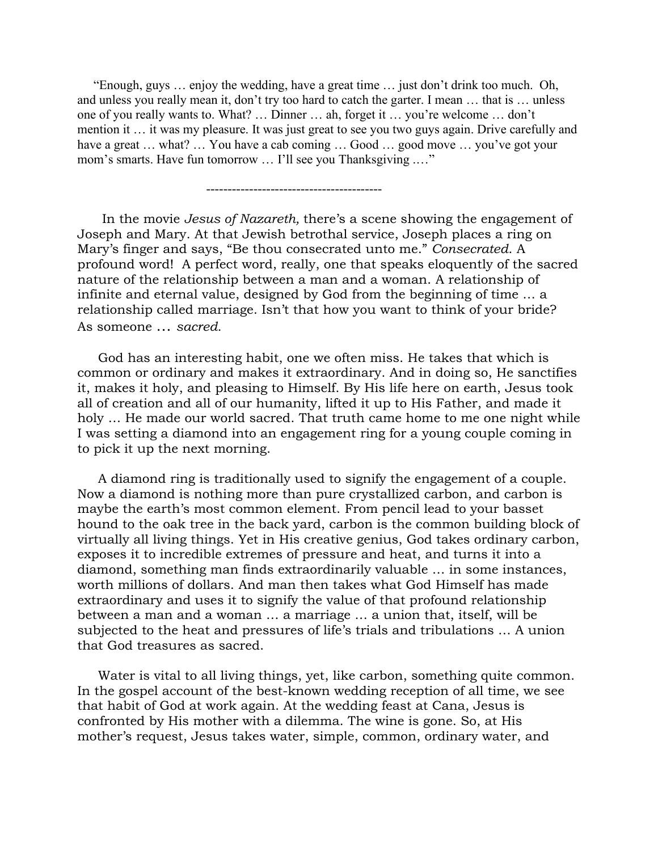"Enough, guys … enjoy the wedding, have a great time … just don't drink too much. Oh, and unless you really mean it, don't try too hard to catch the garter. I mean … that is … unless one of you really wants to. What? … Dinner … ah, forget it … you're welcome … don't mention it … it was my pleasure. It was just great to see you two guys again. Drive carefully and have a great ... what? ... You have a cab coming ... Good ... good move ... you've got your mom's smarts. Have fun tomorrow ... I'll see you Thanksgiving ...."

-----------------------------------------

 In the movie *Jesus of Nazareth,* there's a scene showing the engagement of Joseph and Mary. At that Jewish betrothal service, Joseph places a ring on Mary's finger and says, "Be thou consecrated unto me." *Consecrated*. A profound word! A perfect word, really, one that speaks eloquently of the sacred nature of the relationship between a man and a woman. A relationship of infinite and eternal value, designed by God from the beginning of time … a relationship called marriage. Isn't that how you want to think of your bride? As someone … *sacred*.

 God has an interesting habit, one we often miss. He takes that which is common or ordinary and makes it extraordinary. And in doing so, He sanctifies it, makes it holy, and pleasing to Himself. By His life here on earth, Jesus took all of creation and all of our humanity, lifted it up to His Father, and made it holy … He made our world sacred. That truth came home to me one night while I was setting a diamond into an engagement ring for a young couple coming in to pick it up the next morning.

 A diamond ring is traditionally used to signify the engagement of a couple. Now a diamond is nothing more than pure crystallized carbon, and carbon is maybe the earth's most common element. From pencil lead to your basset hound to the oak tree in the back yard, carbon is the common building block of virtually all living things. Yet in His creative genius, God takes ordinary carbon, exposes it to incredible extremes of pressure and heat, and turns it into a diamond, something man finds extraordinarily valuable … in some instances, worth millions of dollars. And man then takes what God Himself has made extraordinary and uses it to signify the value of that profound relationship between a man and a woman … a marriage … a union that, itself, will be subjected to the heat and pressures of life's trials and tribulations … A union that God treasures as sacred.

 Water is vital to all living things, yet, like carbon, something quite common. In the gospel account of the best-known wedding reception of all time, we see that habit of God at work again. At the wedding feast at Cana, Jesus is confronted by His mother with a dilemma. The wine is gone. So, at His mother's request, Jesus takes water, simple, common, ordinary water, and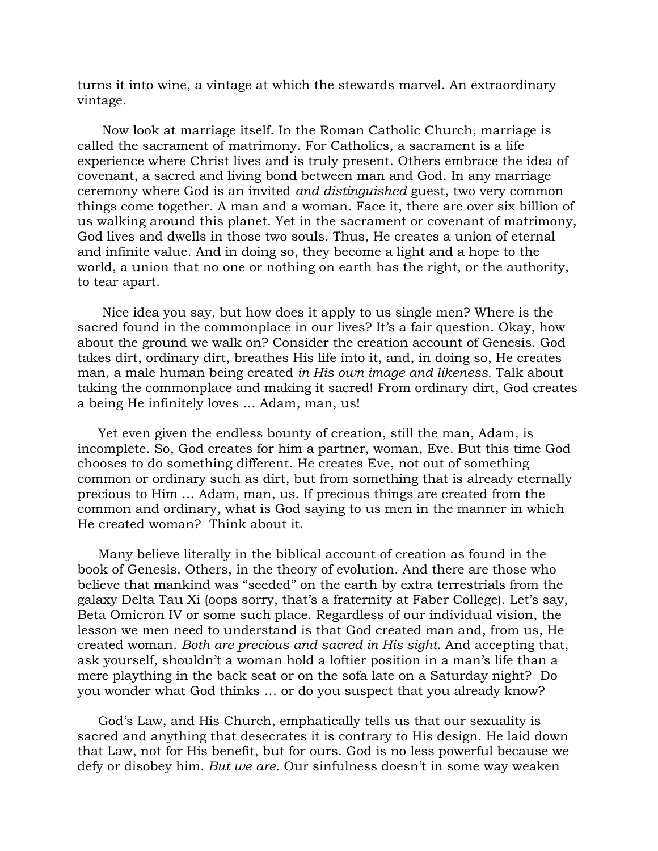turns it into wine, a vintage at which the stewards marvel. An extraordinary vintage.

 Now look at marriage itself. In the Roman Catholic Church, marriage is called the sacrament of matrimony. For Catholics, a sacrament is a life experience where Christ lives and is truly present. Others embrace the idea of covenant, a sacred and living bond between man and God. In any marriage ceremony where God is an invited *and distinguished* guest, two very common things come together. A man and a woman. Face it, there are over six billion of us walking around this planet. Yet in the sacrament or covenant of matrimony, God lives and dwells in those two souls. Thus, He creates a union of eternal and infinite value. And in doing so, they become a light and a hope to the world, a union that no one or nothing on earth has the right, or the authority, to tear apart.

 Nice idea you say, but how does it apply to us single men? Where is the sacred found in the commonplace in our lives? It's a fair question. Okay, how about the ground we walk on? Consider the creation account of Genesis. God takes dirt, ordinary dirt, breathes His life into it, and, in doing so, He creates man, a male human being created *in His own image and likeness.* Talk about taking the commonplace and making it sacred! From ordinary dirt, God creates a being He infinitely loves … Adam, man, us!

 Yet even given the endless bounty of creation, still the man, Adam, is incomplete. So, God creates for him a partner, woman, Eve. But this time God chooses to do something different. He creates Eve, not out of something common or ordinary such as dirt, but from something that is already eternally precious to Him … Adam, man, us. If precious things are created from the common and ordinary, what is God saying to us men in the manner in which He created woman? Think about it.

 Many believe literally in the biblical account of creation as found in the book of Genesis. Others, in the theory of evolution. And there are those who believe that mankind was "seeded" on the earth by extra terrestrials from the galaxy Delta Tau Xi (oops sorry, that's a fraternity at Faber College). Let's say, Beta Omicron IV or some such place. Regardless of our individual vision, the lesson we men need to understand is that God created man and, from us, He created woman. *Both are precious and sacred in His sight*. And accepting that, ask yourself, shouldn't a woman hold a loftier position in a man's life than a mere plaything in the back seat or on the sofa late on a Saturday night? Do you wonder what God thinks … or do you suspect that you already know?

 God's Law, and His Church, emphatically tells us that our sexuality is sacred and anything that desecrates it is contrary to His design. He laid down that Law, not for His benefit, but for ours. God is no less powerful because we defy or disobey him*. But we are.* Our sinfulness doesn't in some way weaken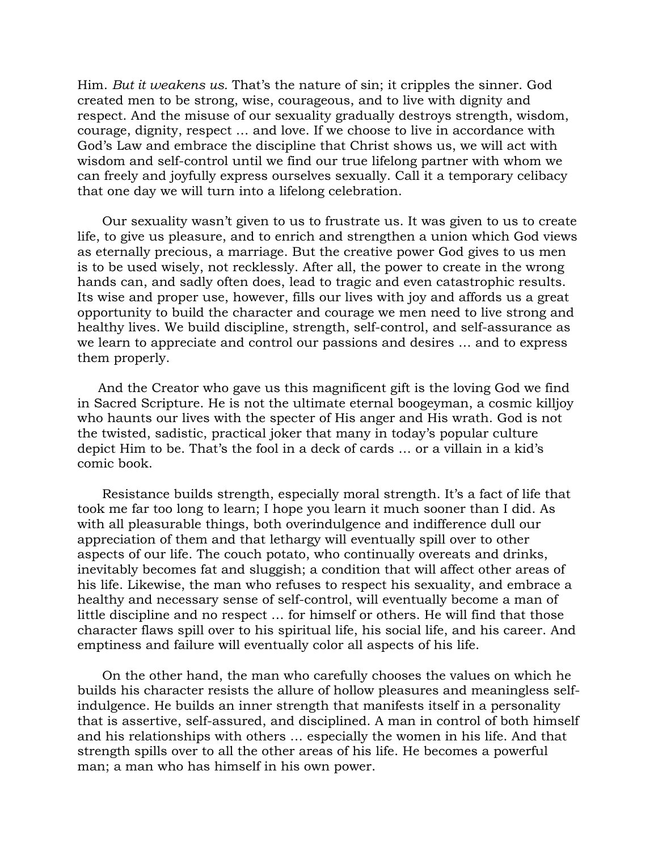Him. *But it weakens us.* That's the nature of sin; it cripples the sinner. God created men to be strong, wise, courageous, and to live with dignity and respect. And the misuse of our sexuality gradually destroys strength, wisdom, courage, dignity, respect … and love. If we choose to live in accordance with God's Law and embrace the discipline that Christ shows us, we will act with wisdom and self-control until we find our true lifelong partner with whom we can freely and joyfully express ourselves sexually. Call it a temporary celibacy that one day we will turn into a lifelong celebration.

 Our sexuality wasn't given to us to frustrate us. It was given to us to create life, to give us pleasure, and to enrich and strengthen a union which God views as eternally precious, a marriage. But the creative power God gives to us men is to be used wisely, not recklessly. After all, the power to create in the wrong hands can, and sadly often does, lead to tragic and even catastrophic results. Its wise and proper use, however, fills our lives with joy and affords us a great opportunity to build the character and courage we men need to live strong and healthy lives. We build discipline, strength, self-control, and self-assurance as we learn to appreciate and control our passions and desires … and to express them properly.

 And the Creator who gave us this magnificent gift is the loving God we find in Sacred Scripture. He is not the ultimate eternal boogeyman, a cosmic killjoy who haunts our lives with the specter of His anger and His wrath. God is not the twisted, sadistic, practical joker that many in today's popular culture depict Him to be. That's the fool in a deck of cards … or a villain in a kid's comic book.

 Resistance builds strength, especially moral strength. It's a fact of life that took me far too long to learn; I hope you learn it much sooner than I did. As with all pleasurable things, both overindulgence and indifference dull our appreciation of them and that lethargy will eventually spill over to other aspects of our life. The couch potato, who continually overeats and drinks, inevitably becomes fat and sluggish; a condition that will affect other areas of his life. Likewise, the man who refuses to respect his sexuality, and embrace a healthy and necessary sense of self-control, will eventually become a man of little discipline and no respect … for himself or others. He will find that those character flaws spill over to his spiritual life, his social life, and his career. And emptiness and failure will eventually color all aspects of his life.

 On the other hand, the man who carefully chooses the values on which he builds his character resists the allure of hollow pleasures and meaningless selfindulgence. He builds an inner strength that manifests itself in a personality that is assertive, self-assured, and disciplined. A man in control of both himself and his relationships with others … especially the women in his life. And that strength spills over to all the other areas of his life. He becomes a powerful man; a man who has himself in his own power.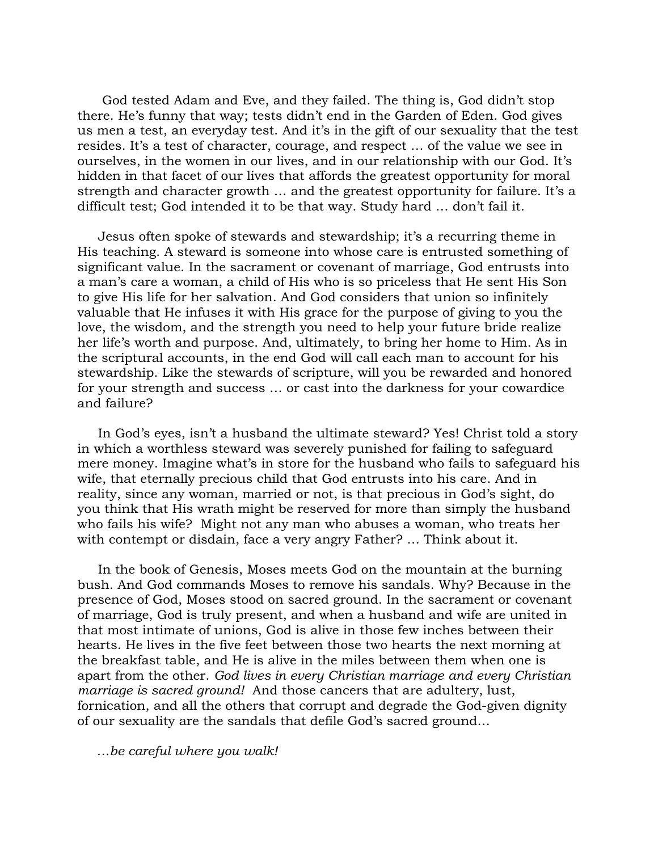God tested Adam and Eve, and they failed. The thing is, God didn't stop there. He's funny that way; tests didn't end in the Garden of Eden. God gives us men a test, an everyday test. And it's in the gift of our sexuality that the test resides. It's a test of character, courage, and respect … of the value we see in ourselves, in the women in our lives, and in our relationship with our God. It's hidden in that facet of our lives that affords the greatest opportunity for moral strength and character growth … and the greatest opportunity for failure. It's a difficult test; God intended it to be that way. Study hard … don't fail it.

 Jesus often spoke of stewards and stewardship; it's a recurring theme in His teaching. A steward is someone into whose care is entrusted something of significant value. In the sacrament or covenant of marriage, God entrusts into a man's care a woman, a child of His who is so priceless that He sent His Son to give His life for her salvation. And God considers that union so infinitely valuable that He infuses it with His grace for the purpose of giving to you the love, the wisdom, and the strength you need to help your future bride realize her life's worth and purpose. And, ultimately, to bring her home to Him. As in the scriptural accounts, in the end God will call each man to account for his stewardship. Like the stewards of scripture, will you be rewarded and honored for your strength and success … or cast into the darkness for your cowardice and failure?

 In God's eyes, isn't a husband the ultimate steward? Yes! Christ told a story in which a worthless steward was severely punished for failing to safeguard mere money. Imagine what's in store for the husband who fails to safeguard his wife, that eternally precious child that God entrusts into his care. And in reality, since any woman, married or not, is that precious in God's sight, do you think that His wrath might be reserved for more than simply the husband who fails his wife? Might not any man who abuses a woman, who treats her with contempt or disdain, face a very angry Father? … Think about it.

 In the book of Genesis, Moses meets God on the mountain at the burning bush. And God commands Moses to remove his sandals. Why? Because in the presence of God, Moses stood on sacred ground. In the sacrament or covenant of marriage, God is truly present, and when a husband and wife are united in that most intimate of unions, God is alive in those few inches between their hearts. He lives in the five feet between those two hearts the next morning at the breakfast table, and He is alive in the miles between them when one is apart from the other. *God lives in every Christian marriage and every Christian marriage is sacred ground!* And those cancers that are adultery, lust, fornication, and all the others that corrupt and degrade the God-given dignity of our sexuality are the sandals that defile God's sacred ground…

 *…be careful where you walk!*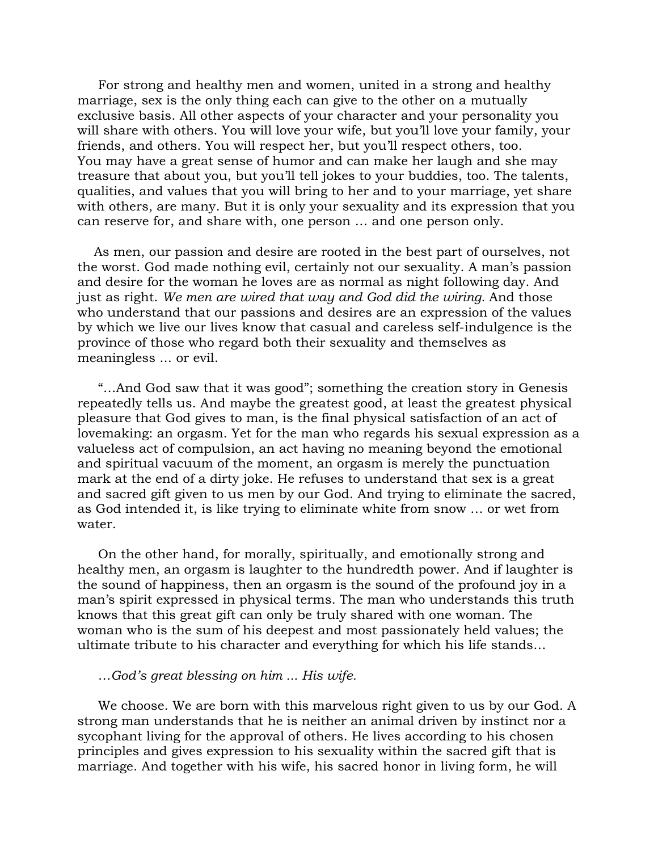For strong and healthy men and women, united in a strong and healthy marriage, sex is the only thing each can give to the other on a mutually exclusive basis. All other aspects of your character and your personality you will share with others. You will love your wife, but you'll love your family, your friends, and others. You will respect her, but you'll respect others, too. You may have a great sense of humor and can make her laugh and she may treasure that about you, but you'll tell jokes to your buddies, too. The talents, qualities, and values that you will bring to her and to your marriage, yet share with others, are many. But it is only your sexuality and its expression that you can reserve for, and share with, one person … and one person only.

 As men, our passion and desire are rooted in the best part of ourselves, not the worst. God made nothing evil, certainly not our sexuality. A man's passion and desire for the woman he loves are as normal as night following day. And just as right. *We men are wired that way and God did the wiring.* And those who understand that our passions and desires are an expression of the values by which we live our lives know that casual and careless self-indulgence is the province of those who regard both their sexuality and themselves as meaningless ... or evil.

 "…And God saw that it was good"; something the creation story in Genesis repeatedly tells us. And maybe the greatest good, at least the greatest physical pleasure that God gives to man, is the final physical satisfaction of an act of lovemaking: an orgasm. Yet for the man who regards his sexual expression as a valueless act of compulsion, an act having no meaning beyond the emotional and spiritual vacuum of the moment, an orgasm is merely the punctuation mark at the end of a dirty joke. He refuses to understand that sex is a great and sacred gift given to us men by our God. And trying to eliminate the sacred, as God intended it, is like trying to eliminate white from snow … or wet from water.

 On the other hand, for morally, spiritually, and emotionally strong and healthy men, an orgasm is laughter to the hundredth power. And if laughter is the sound of happiness, then an orgasm is the sound of the profound joy in a man's spirit expressed in physical terms. The man who understands this truth knows that this great gift can only be truly shared with one woman. The woman who is the sum of his deepest and most passionately held values; the ultimate tribute to his character and everything for which his life stands…

## …*God's great blessing on him ... His wife.*

 We choose. We are born with this marvelous right given to us by our God. A strong man understands that he is neither an animal driven by instinct nor a sycophant living for the approval of others. He lives according to his chosen principles and gives expression to his sexuality within the sacred gift that is marriage. And together with his wife, his sacred honor in living form, he will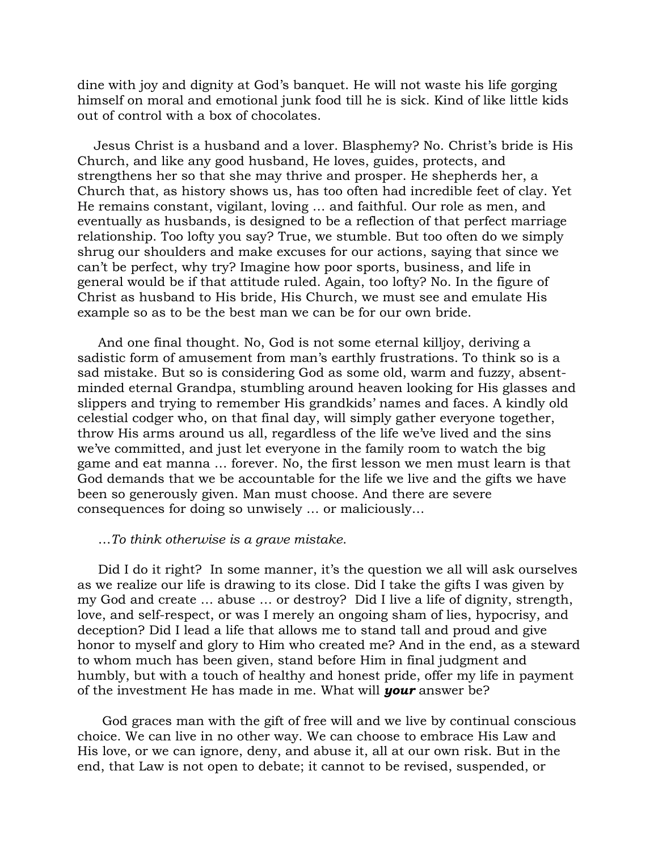dine with joy and dignity at God's banquet. He will not waste his life gorging himself on moral and emotional junk food till he is sick. Kind of like little kids out of control with a box of chocolates.

 Jesus Christ is a husband and a lover. Blasphemy? No. Christ's bride is His Church, and like any good husband, He loves, guides, protects, and strengthens her so that she may thrive and prosper. He shepherds her, a Church that, as history shows us, has too often had incredible feet of clay. Yet He remains constant, vigilant, loving … and faithful. Our role as men, and eventually as husbands, is designed to be a reflection of that perfect marriage relationship. Too lofty you say? True, we stumble. But too often do we simply shrug our shoulders and make excuses for our actions, saying that since we can't be perfect, why try? Imagine how poor sports, business, and life in general would be if that attitude ruled. Again, too lofty? No. In the figure of Christ as husband to His bride, His Church, we must see and emulate His example so as to be the best man we can be for our own bride.

 And one final thought. No, God is not some eternal killjoy, deriving a sadistic form of amusement from man's earthly frustrations. To think so is a sad mistake. But so is considering God as some old, warm and fuzzy, absentminded eternal Grandpa, stumbling around heaven looking for His glasses and slippers and trying to remember His grandkids' names and faces. A kindly old celestial codger who, on that final day, will simply gather everyone together, throw His arms around us all, regardless of the life we've lived and the sins we've committed, and just let everyone in the family room to watch the big game and eat manna … forever. No, the first lesson we men must learn is that God demands that we be accountable for the life we live and the gifts we have been so generously given. Man must choose. And there are severe consequences for doing so unwisely … or maliciously…

## …*To think otherwise is a grave mistake*.

 Did I do it right? In some manner, it's the question we all will ask ourselves as we realize our life is drawing to its close. Did I take the gifts I was given by my God and create … abuse … or destroy? Did I live a life of dignity, strength, love, and self-respect, or was I merely an ongoing sham of lies, hypocrisy, and deception? Did I lead a life that allows me to stand tall and proud and give honor to myself and glory to Him who created me? And in the end, as a steward to whom much has been given, stand before Him in final judgment and humbly, but with a touch of healthy and honest pride, offer my life in payment of the investment He has made in me. What will *your* answer be?

 God graces man with the gift of free will and we live by continual conscious choice. We can live in no other way. We can choose to embrace His Law and His love, or we can ignore, deny, and abuse it, all at our own risk. But in the end, that Law is not open to debate; it cannot to be revised, suspended, or